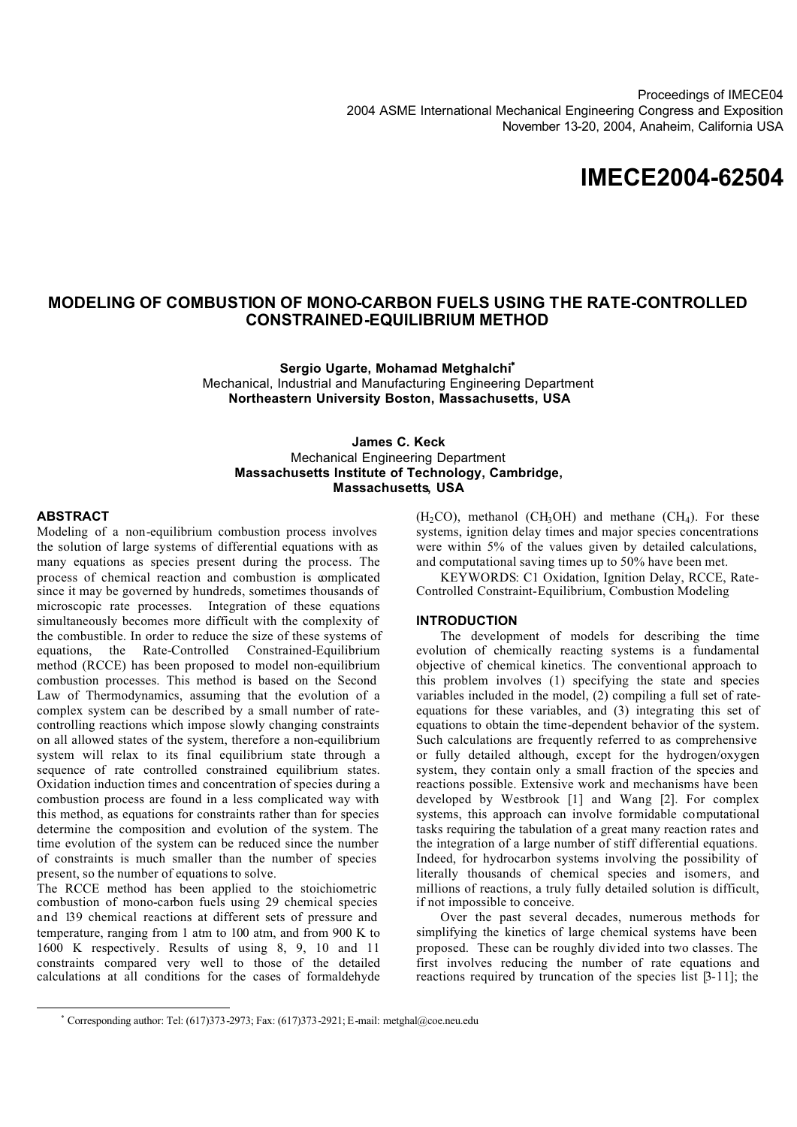Proceedings of IMECE04 2004 ASME International Mechanical Engineering Congress and Exposition November 13-20, 2004, Anaheim, California USA

# **IMECE2004-62504**

### **MODELING OF COMBUSTION OF MONO-CARBON FUELS USING THE RATE-CONTROLLED CONSTRAINED-EQUILIBRIUM METHOD**

**Sergio Ugarte, Mohamad Metghalchi**<sup>∗</sup> Mechanical, Industrial and Manufacturing Engineering Department **Northeastern University Boston, Massachusetts, USA**

**James C. Keck** Mechanical Engineering Department **Massachusetts Institute of Technology, Cambridge, Massachusetts, USA**

#### **ABSTRACT**

Modeling of a non-equilibrium combustion process involves the solution of large systems of differential equations with as many equations as species present during the process. The process of chemical reaction and combustion is complicated since it may be governed by hundreds, sometimes thousands of microscopic rate processes. Integration of these equations simultaneously becomes more difficult with the complexity of the combustible. In order to reduce the size of these systems of equations, the Rate-Controlled Constrained-Equilibrium method (RCCE) has been proposed to model non-equilibrium combustion processes. This method is based on the Second Law of Thermodynamics, assuming that the evolution of a complex system can be described by a small number of ratecontrolling reactions which impose slowly changing constraints on all allowed states of the system, therefore a non-equilibrium system will relax to its final equilibrium state through a sequence of rate controlled constrained equilibrium states. Oxidation induction times and concentration of species during a combustion process are found in a less complicated way with this method, as equations for constraints rather than for species determine the composition and evolution of the system. The time evolution of the system can be reduced since the number of constraints is much smaller than the number of species present, so the number of equations to solve.

The RCCE method has been applied to the stoichiometric combustion of mono-carbon fuels using 29 chemical species and 139 chemical reactions at different sets of pressure and temperature, ranging from 1 atm to 100 atm, and from 900 K to 1600 K respectively. Results of using 8, 9, 10 and 11 constraints compared very well to those of the detailed calculations at all conditions for the cases of formaldehyde

 $(H_2CO)$ , methanol  $(CH_3OH)$  and methane  $(CH_4)$ . For these systems, ignition delay times and major species concentrations were within 5% of the values given by detailed calculations, and computational saving times up to 50% have been met.

KEYWORDS: C1 Oxidation, Ignition Delay, RCCE, Rate-Controlled Constraint-Equilibrium, Combustion Modeling

### **INTRODUCTION**

The development of models for describing the time evolution of chemically reacting systems is a fundamental objective of chemical kinetics. The conventional approach to this problem involves (1) specifying the state and species variables included in the model, (2) compiling a full set of rateequations for these variables, and (3) integrating this set of equations to obtain the time-dependent behavior of the system. Such calculations are frequently referred to as comprehensive or fully detailed although, except for the hydrogen/oxygen system, they contain only a small fraction of the species and reactions possible. Extensive work and mechanisms have been developed by Westbrook [1] and Wang [2]. For complex systems, this approach can involve formidable computational tasks requiring the tabulation of a great many reaction rates and the integration of a large number of stiff differential equations. Indeed, for hydrocarbon systems involving the possibility of literally thousands of chemical species and isomers, and millions of reactions, a truly fully detailed solution is difficult, if not impossible to conceive.

Over the past several decades, numerous methods for simplifying the kinetics of large chemical systems have been proposed. These can be roughly divided into two classes. The first involves reducing the number of rate equations and reactions required by truncation of the species list [3-11]; the

<sup>∗</sup> Corresponding author: Tel: (617)373-2973; Fax: (617)373-2921; E-mail: metghal@coe.neu.edu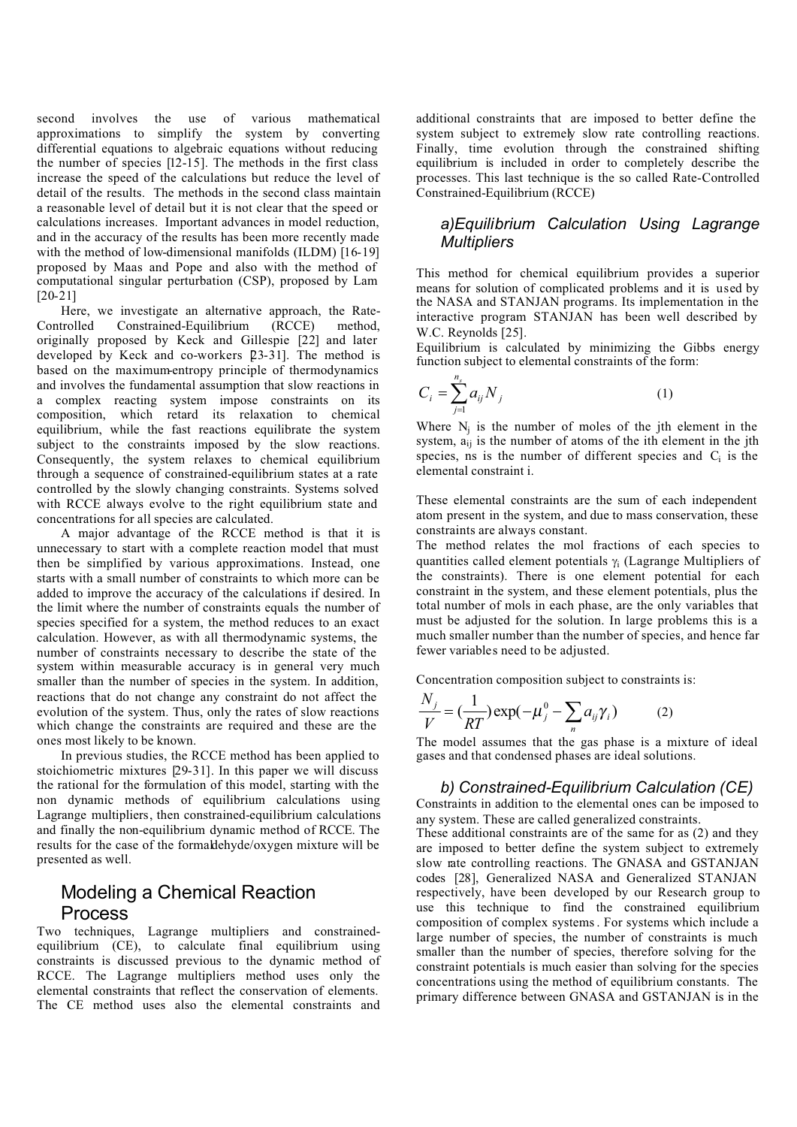second involves the use of various mathematical approximations to simplify the system by converting differential equations to algebraic equations without reducing the number of species [12-15]. The methods in the first class increase the speed of the calculations but reduce the level of detail of the results. The methods in the second class maintain a reasonable level of detail but it is not clear that the speed or calculations increases. Important advances in model reduction, and in the accuracy of the results has been more recently made with the method of low-dimensional manifolds (ILDM) [16-19] proposed by Maas and Pope and also with the method of computational singular perturbation (CSP), proposed by Lam [20-21]

Here, we investigate an alternative approach, the Rate-Controlled Constrained-Equilibrium (RCCE) method, originally proposed by Keck and Gillespie [22] and later developed by Keck and co-workers [23-31]. The method is based on the maximum-entropy principle of thermodynamics and involves the fundamental assumption that slow reactions in a complex reacting system impose constraints on its composition, which retard its relaxation to chemical equilibrium, while the fast reactions equilibrate the system subject to the constraints imposed by the slow reactions. Consequently, the system relaxes to chemical equilibrium through a sequence of constrained-equilibrium states at a rate controlled by the slowly changing constraints. Systems solved with RCCE always evolve to the right equilibrium state and concentrations for all species are calculated.

A major advantage of the RCCE method is that it is unnecessary to start with a complete reaction model that must then be simplified by various approximations. Instead, one starts with a small number of constraints to which more can be added to improve the accuracy of the calculations if desired. In the limit where the number of constraints equals the number of species specified for a system, the method reduces to an exact calculation. However, as with all thermodynamic systems, the number of constraints necessary to describe the state of the system within measurable accuracy is in general very much smaller than the number of species in the system. In addition, reactions that do not change any constraint do not affect the evolution of the system. Thus, only the rates of slow reactions which change the constraints are required and these are the ones most likely to be known.

In previous studies, the RCCE method has been applied to stoichiometric mixtures [29-31]. In this paper we will discuss the rational for the formulation of this model, starting with the non dynamic methods of equilibrium calculations using Lagrange multipliers, then constrained-equilibrium calculations and finally the non-equilibrium dynamic method of RCCE. The results for the case of the formaldehyde/oxygen mixture will be presented as well.

# Modeling a Chemical Reaction Process

Two techniques, Lagrange multipliers and constrainedequilibrium (CE), to calculate final equilibrium using constraints is discussed previous to the dynamic method of RCCE. The Lagrange multipliers method uses only the elemental constraints that reflect the conservation of elements. The CE method uses also the elemental constraints and

additional constraints that are imposed to better define the system subject to extremely slow rate controlling reactions. Finally, time evolution through the constrained shifting equilibrium is included in order to completely describe the processes. This last technique is the so called Rate-Controlled Constrained-Equilibrium (RCCE)

### *a)Equilibrium Calculation Using Lagrange Multipliers*

This method for chemical equilibrium provides a superior means for solution of complicated problems and it is used by the NASA and STANJAN programs. Its implementation in the interactive program STANJAN has been well described by W.C. Reynolds [25].

Equilibrium is calculated by minimizing the Gibbs energy function subject to elemental constraints of the form:

$$
C_i = \sum_{j=1}^{n_s} a_{ij} N_j
$$
 (1)

Where  $N_i$  is the number of moles of the jth element in the system,  $a_{ii}$  is the number of atoms of the ith element in the jth species, ns is the number of different species and  $C_i$  is the elemental constraint i.

These elemental constraints are the sum of each independent atom present in the system, and due to mass conservation, these constraints are always constant.

The method relates the mol fractions of each species to quantities called element potentials  $\gamma_i$  (Lagrange Multipliers of the constraints). There is one element potential for each constraint in the system, and these element potentials, plus the total number of mols in each phase, are the only variables that must be adjusted for the solution. In large problems this is a much smaller number than the number of species, and hence far fewer variables need to be adjusted.

Concentration composition subject to constraints is:

$$
\frac{N_j}{V} = \left(\frac{1}{RT}\right) \exp\left(-\mu_j^0 - \sum_n a_{ij} \gamma_i\right) \tag{2}
$$

*N*

The model assumes that the gas phase is a mixture of ideal gases and that condensed phases are ideal solutions.

### *b) Constrained-Equilibrium Calculation (CE)*

Constraints in addition to the elemental ones can be imposed to any system. These are called generalized constraints.

These additional constraints are of the same for as (2) and they are imposed to better define the system subject to extremely slow rate controlling reactions. The GNASA and GSTANJAN codes [28], Generalized NASA and Generalized STANJAN respectively, have been developed by our Research group to use this technique to find the constrained equilibrium composition of complex systems . For systems which include a large number of species, the number of constraints is much smaller than the number of species, therefore solving for the constraint potentials is much easier than solving for the species concentrations using the method of equilibrium constants. The primary difference between GNASA and GSTANJAN is in the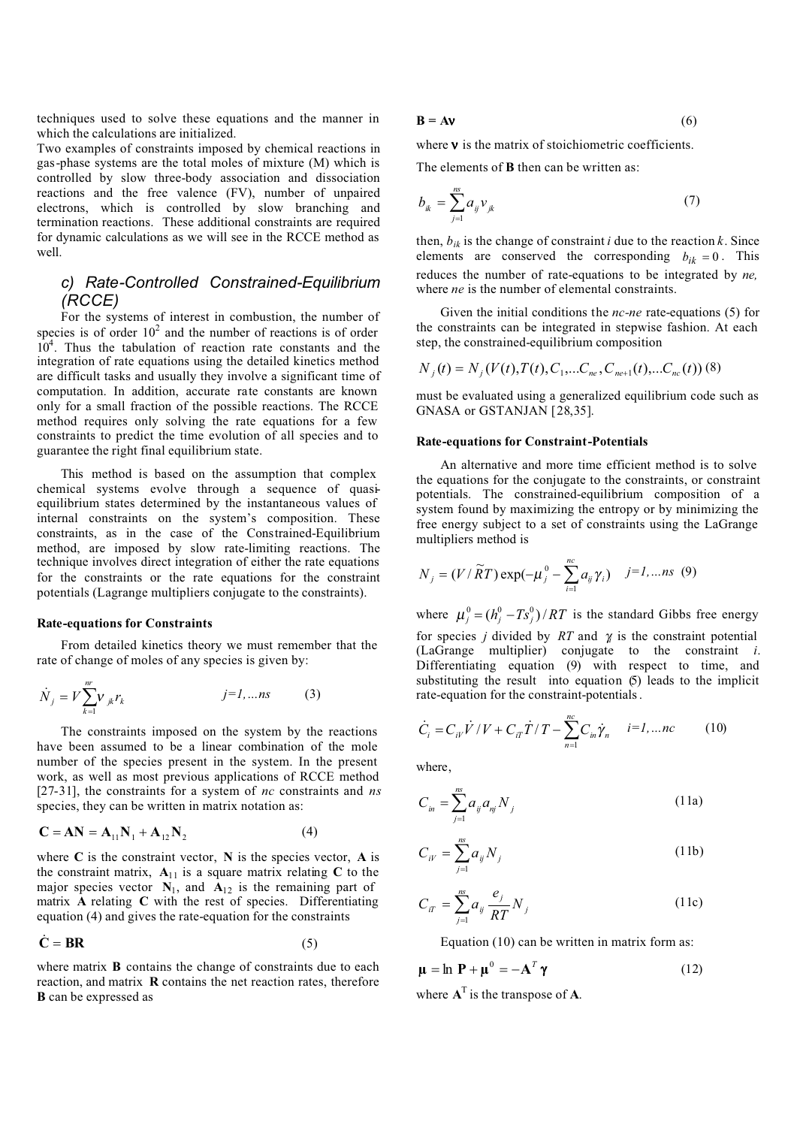techniques used to solve these equations and the manner in which the calculations are initialized.

Two examples of constraints imposed by chemical reactions in gas-phase systems are the total moles of mixture (M) which is controlled by slow three-body association and dissociation reactions and the free valence (FV), number of unpaired electrons, which is controlled by slow branching and termination reactions. These additional constraints are required for dynamic calculations as we will see in the RCCE method as well.

### *c) Rate-Controlled Constrained-Equilibrium (RCCE)*

For the systems of interest in combustion, the number of species is of order  $10^2$  and the number of reactions is of order  $10<sup>4</sup>$ . Thus the tabulation of reaction rate constants and the integration of rate equations using the detailed kinetics method are difficult tasks and usually they involve a significant time of computation. In addition, accurate rate constants are known only for a small fraction of the possible reactions. The RCCE method requires only solving the rate equations for a few constraints to predict the time evolution of all species and to guarantee the right final equilibrium state.

This method is based on the assumption that complex chemical systems evolve through a sequence of quasiequilibrium states determined by the instantaneous values of internal constraints on the system's composition. These constraints, as in the case of the Constrained-Equilibrium method, are imposed by slow rate-limiting reactions. The technique involves direct integration of either the rate equations for the constraints or the rate equations for the constraint potentials (Lagrange multipliers conjugate to the constraints).

#### **Rate-equations for Constraints**

From detailed kinetics theory we must remember that the rate of change of moles of any species is given by:

$$
\dot{N}_j = V \sum_{k=1}^{m} V_{jk} r_k \qquad j=1,...ns \qquad (3)
$$

The constraints imposed on the system by the reactions have been assumed to be a linear combination of the mole number of the species present in the system. In the present work, as well as most previous applications of RCCE method [27-31], the constraints for a system of *nc* constraints and *ns* species, they can be written in matrix notation as:

$$
\mathbf{C} = \mathbf{A}\mathbf{N} = \mathbf{A}_{11}\mathbf{N}_1 + \mathbf{A}_{12}\mathbf{N}_2 \tag{4}
$$

where **C** is the constraint vector, **N** is the species vector, **A** is the constraint matrix,  $A_{11}$  is a square matrix relating  $C$  to the major species vector  $N_1$ , and  $A_{12}$  is the remaining part of matrix **A** relating **C** with the rest of species. Differentiating equation (4) and gives the rate-equation for the constraints

$$
\dot{\mathbf{C}} = \mathbf{BR} \tag{5}
$$

where matrix **B** contains the change of constraints due to each reaction, and matrix **R** contains the net reaction rates, therefore **B** can be expressed as

$$
\mathbf{B} = \mathbf{A}\mathbf{v} \tag{6}
$$

where  $v$  is the matrix of stoichiometric coefficients.

The elements of **B** then can be written as:

$$
b_{ik} = \sum_{j=1}^{ns} a_{ij} v_{jk}
$$
 (7)

then,  $b_{ik}$  is the change of constraint *i* due to the reaction *k*. Since elements are conserved the corresponding  $b_{ik} = 0$ . This reduces the number of rate-equations to be integrated by *ne,*  where *ne* is the number of elemental constraints.

Given the initial conditions the *nc-ne* rate-equations (5) for the constraints can be integrated in stepwise fashion. At each step, the constrained-equilibrium composition

$$
N_j(t) = N_j(V(t), T(t), C_1, \dots, C_{ne}, C_{ne+1}(t), \dots, C_{ne}(t))
$$
 (8)

must be evaluated using a generalized equilibrium code such as GNASA or GSTANJAN [28,35].

#### **Rate-equations for Constraint-Potentials**

An alternative and more time efficient method is to solve the equations for the conjugate to the constraints, or constraint potentials. The constrained-equilibrium composition of a system found by maximizing the entropy or by minimizing the free energy subject to a set of constraints using the LaGrange multipliers method is

$$
N_{j} = (V/\widetilde{R}T) \exp(-\mu_{j}^{0} - \sum_{i=1}^{nc} a_{ij} \gamma_{i}) \quad j=1,...ns \quad (9)
$$

where  $\mu_j^0 = (h_j^0 - Ts_j^0)/RT$  is the standard Gibbs free energy for species *j* divided by *RT* and γ*i* is the constraint potential (LaGrange multiplier) conjugate to the constraint *i*. Differentiating equation (9) with respect to time, and substituting the result into equation (5) leads to the implicit rate-equation for the constraint-potentials .

$$
\dot{C}_i = C_{ik} \dot{V} / V + C_{i\tau} \dot{T} / T - \sum_{n=1}^{nc} C_{in} \dot{\gamma}_n \qquad i = 1, \dots nc \qquad (10)
$$

where,

$$
C_{in} = \sum_{j=1}^{ns} a_{ij} a_{nj} N_j
$$
 (11a)

$$
C_{iV} = \sum_{j=1}^{nS} a_{ij} N_j
$$
 (11b)

$$
C_{i} = \sum_{j=1}^{n} a_{ij} \frac{e_j}{RT} N_j
$$
 (11c)

Equation (10) can be written in matrix form as:

$$
\mathbf{\mu} = \ln \mathbf{P} + \mathbf{\mu}^0 = -\mathbf{A}^T \mathbf{\gamma}
$$
 (12)

where  $A<sup>T</sup>$  is the transpose of A.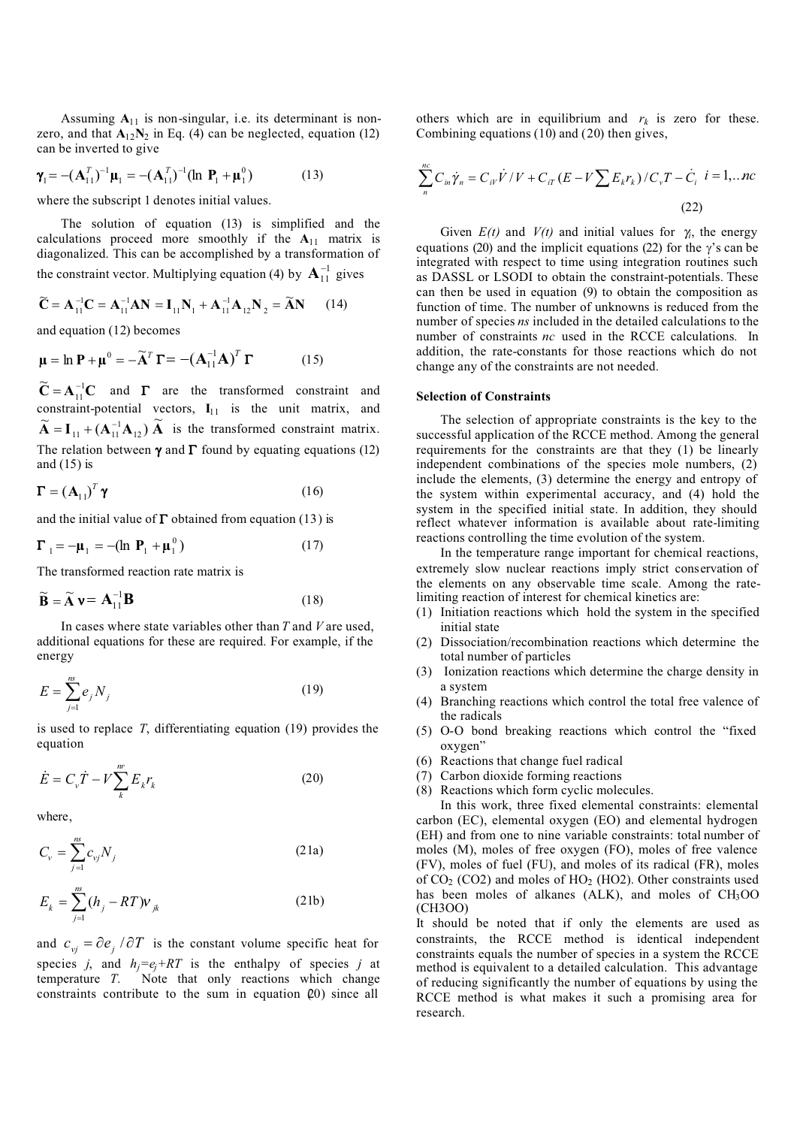Assuming  $A_{11}$  is non-singular, i.e. its determinant is nonzero, and that  $A_{12}N_2$  in Eq. (4) can be neglected, equation (12) can be inverted to give

$$
\gamma_1 = -(\mathbf{A}_{11}^T)^{-1}\mathbf{\mu}_1 = -(\mathbf{A}_{11}^T)^{-1}(\ln \mathbf{P}_1 + \mathbf{\mu}_1^0) \tag{13}
$$

where the subscript 1 denotes initial values.

The solution of equation (13) is simplified and the calculations proceed more smoothly if the  $A_{11}$  matrix is diagonalized. This can be accomplished by a transformation of the constraint vector. Multiplying equation (4) by  $A_{11}^{-1}$  gives

$$
\widetilde{C} = A_{11}^{-1}C = A_{11}^{-1}AN = I_{11}N_1 + A_{11}^{-1}A_{12}N_2 = \widetilde{A}N \qquad (14)
$$

and equation (12) becomes

$$
\mathbf{\mu} = \ln \mathbf{P} + \mathbf{\mu}^0 = -\widetilde{\mathbf{A}}^T \mathbf{\Gamma} = -(\mathbf{A}_{11}^{-1} \mathbf{A})^T \mathbf{\Gamma}
$$
 (15)

 $\widetilde{\mathbf{C}} = \mathbf{A}_{11}^{-1} \mathbf{C}$  $\widetilde{\mathbf{C}} = \mathbf{A}_{11}^{-1} \mathbf{C}$  and  $\mathbf{\Gamma}$  are the transformed constraint and constraint-potential vectors,  $I_{11}$  is the unit matrix, and  $\widetilde{A} = I_{11} + (A_{11}^{-1}A_{12}) \widetilde{A}$  is the transformed constraint matrix. The relation between  $\gamma$  and  $\Gamma$  found by equating equations (12) and (15) is

$$
\mathbf{\Gamma} = \left(\mathbf{A}_{11}\right)^T \mathbf{\gamma} \tag{16}
$$

and the initial value of  $\Gamma$  obtained from equation (13) is

$$
\boldsymbol{\Gamma}_1 = -\boldsymbol{\mu}_1 = -(\ln \mathbf{P}_1 + \boldsymbol{\mu}_1^0) \tag{17}
$$

The transformed reaction rate matrix is

$$
\widetilde{\mathbf{B}} = \widetilde{\mathbf{A}} \mathbf{v} = \mathbf{A}_{11}^{-1} \mathbf{B}
$$
 (18)

In cases where state variables other than *T* and *V* are used, additional equations for these are required. For example, if the energy

$$
E = \sum_{j=1}^{ns} e_j N_j \tag{19}
$$

is used to replace *T*, differentiating equation (19) provides the equation

$$
\dot{E} = C_{\nu}\dot{T} - V\sum_{k}^{m}E_{k}r_{k}
$$
 (20)

where,

$$
C_{\nu} = \sum_{j=1}^{ns} c_{\nu j} N_j \tag{21a}
$$

$$
E_k = \sum_{j=1}^{ns} (h_j - RT) v_{jk}
$$
 (21b)

and  $c_{vi} = \partial e_i / \partial T$  is the constant volume specific heat for species *j*, and  $h_i = e_i + RT$  is the enthalpy of species *j* at temperature *T*. Note that only reactions which change constraints contribute to the sum in equation  $(20)$  since all

others which are in equilibrium and  $r_k$  is zero for these. Combining equations (10) and (20) then gives,

$$
\sum_{n}^{nc} C_{in} \dot{\gamma}_n = C_{iV} \dot{V} / V + C_{iT} (E - V \sum E_k r_k) / C_v T - \dot{C}_i \quad i = 1, ... nc
$$
\n(22)

Given  $E(t)$  and  $V(t)$  and initial values for  $\gamma$ , the energy equations (20) and the implicit equations (22) for the  $\gamma$ 's can be integrated with respect to time using integration routines such as DASSL or LSODI to obtain the constraint-potentials. These can then be used in equation (9) to obtain the composition as function of time. The number of unknowns is reduced from the number of species *ns* included in the detailed calculations to the number of constraints *nc* used in the RCCE calculations*.* In addition, the rate-constants for those reactions which do not change any of the constraints are not needed.

#### **Selection of Constraints**

The selection of appropriate constraints is the key to the successful application of the RCCE method. Among the general requirements for the constraints are that they (1) be linearly independent combinations of the species mole numbers, (2) include the elements, (3) determine the energy and entropy of the system within experimental accuracy, and (4) hold the system in the specified initial state. In addition, they should reflect whatever information is available about rate-limiting reactions controlling the time evolution of the system.

In the temperature range important for chemical reactions, extremely slow nuclear reactions imply strict conservation of the elements on any observable time scale. Among the ratelimiting reaction of interest for chemical kinetics are:

- (1) Initiation reactions which hold the system in the specified initial state
- (2) Dissociation/recombination reactions which determine the total number of particles
- (3) Ionization reactions which determine the charge density in a system
- (4) Branching reactions which control the total free valence of the radicals
- (5) O-O bond breaking reactions which control the "fixed oxygen"
- (6) Reactions that change fuel radical
- (7) Carbon dioxide forming reactions
- (8) Reactions which form cyclic molecules.

In this work, three fixed elemental constraints: elemental carbon (EC), elemental oxygen (EO) and elemental hydrogen (EH) and from one to nine variable constraints: total number of moles (M), moles of free oxygen (FO), moles of free valence (FV), moles of fuel (FU), and moles of its radical (FR), moles of CO<sub>2</sub> (CO2) and moles of HO<sub>2</sub> (HO2). Other constraints used has been moles of alkanes (ALK), and moles of CH3OO (CH3OO)

It should be noted that if only the elements are used as constraints, the RCCE method is identical independent constraints equals the number of species in a system the RCCE method is equivalent to a detailed calculation. This advantage of reducing significantly the number of equations by using the RCCE method is what makes it such a promising area for research.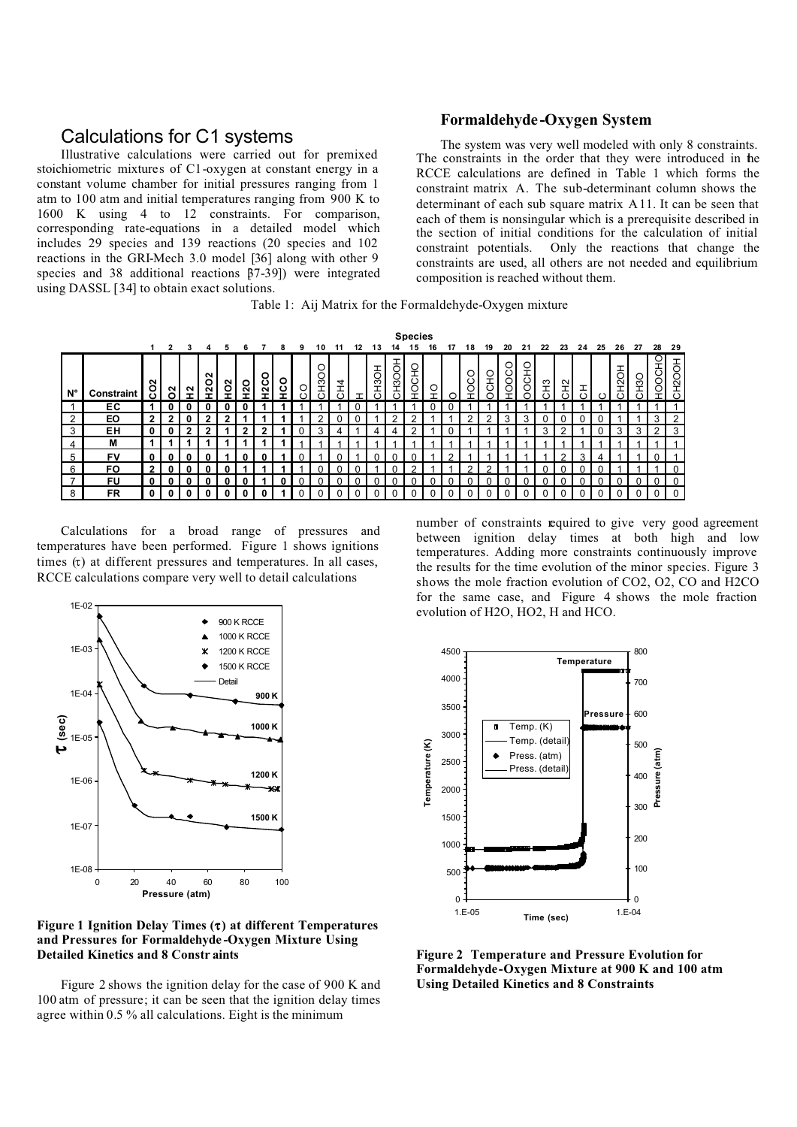## Calculations for C1 systems

Illustrative calculations were carried out for premixed stoichiometric mixtures of C1-oxygen at constant energy in a constant volume chamber for initial pressures ranging from 1 atm to 100 atm and initial temperatures ranging from 900 K to 1600 K using 4 to 12 constraints. For comparison, corresponding rate-equations in a detailed model which includes 29 species and 139 reactions (20 species and 102 reactions in the GRI-Mech 3.0 model [36] along with other 9 species and 38 additional reactions  $\overline{87-391}$  were integrated using DASSL [34] to obtain exact solutions.

#### **Formaldehyde-Oxygen System**

The system was very well modeled with only 8 constraints. The constraints in the order that they were introduced in the RCCE calculations are defined in Table 1 which forms the constraint matrix A. The sub-determinant column shows the determinant of each sub square matrix A11. It can be seen that each of them is nonsingular which is a prerequisite described in the section of initial conditions for the calculation of initial constraint potentials. Only the reactions that change the constraints are used, all others are not needed and equilibrium composition is reached without them.

|  |  |  | Table 1: Aij Matrix for the Formaldehyde-Oxygen mixture |  |
|--|--|--|---------------------------------------------------------|--|
|  |  |  |                                                         |  |

|                          |                   |   | <b>Species</b> |   |                       |   |   |         |     |         |    |          |    |     |                     |             |         |          |        |              |             |        |    |    |    |          |              |    |    |                 |
|--------------------------|-------------------|---|----------------|---|-----------------------|---|---|---------|-----|---------|----|----------|----|-----|---------------------|-------------|---------|----------|--------|--------------|-------------|--------|----|----|----|----------|--------------|----|----|-----------------|
|                          |                   |   | 2              |   | 4                     | 5 | 6 |         | 8   | 9       | 10 |          | 12 | 13  |                     | 15          | 16      | 17       | 18     | 19           | 20          | 21     | 22 | 23 | 24 | 25       | 26           | 27 | 28 | -29             |
| N°                       | <b>Constraint</b> | ី | 2<br>⌒         | N | $\sim$<br>o<br>$\sim$ | ី | ႙ | O<br>Š, | ပ္ပ | $\circ$ | ≏ု | 7        |    | OSH | ਨ<br>$\overline{6}$ | <b>OCHO</b> | $\circ$ |          | ∩<br>Ō | SНО          | O<br>ŏ<br>O | O<br>8 | 空  | 오  | 工  |          | Ě            | ္ဘ | 0  | H2OOH<br>$\sim$ |
|                          | ЕC                |   |                |   |                       |   |   |         |     |         |    |          |    |     |                     |             |         |          |        |              |             |        |    |    |    |          |              |    |    |                 |
| 2                        | EO                | ◠ |                |   | າ                     |   |   |         |     |         |    |          |    |     |                     | ົ           |         |          |        | ◠            | ঽ           | 3      |    |    |    |          |              |    | 3  | $\mathcal{P}$   |
| 3                        | ΕH                |   |                | ≘ | າ                     |   |   | າ       |     |         | ঽ  |          |    |     |                     | ົ           |         |          |        |              |             |        |    | ◠  |    |          | З            | 3  | ົ  | -3              |
| 4                        | м                 |   |                |   |                       |   |   |         |     |         |    |          |    |     |                     |             |         |          |        |              |             |        |    |    |    |          |              |    |    |                 |
| 5                        | <b>FV</b>         |   |                |   |                       |   |   |         |     |         |    | n        |    |     |                     |             |         | 2        |        |              |             |        |    | C  | 3  | 4        |              |    |    |                 |
| 6                        | FO.               | ◠ |                |   | 0                     |   |   |         |     |         |    |          |    |     |                     | C           |         |          | r      | ◠            |             |        |    |    |    |          |              |    |    |                 |
| $\overline{\phantom{a}}$ | FU                |   |                |   |                       |   |   |         |     |         |    | n        |    |     |                     |             |         |          |        |              |             |        |    |    |    |          |              |    |    |                 |
| 8                        | FR                |   |                | 0 | 0                     |   | 0 | 0       |     |         |    | $\Omega$ |    |     |                     |             |         | $\Omega$ |        | <sup>n</sup> |             |        |    | U  | 0  | $\Omega$ | <sup>n</sup> | U  |    |                 |

Calculations for a broad range of pressures and temperatures have been performed. Figure 1 shows ignitions times  $(\tau)$  at different pressures and temperatures. In all cases, RCCE calculations compare very well to detail calculations



**Figure 1 Ignition Delay Times (**τ**) at different Temperatures and Pressures for Formaldehyde -Oxygen Mixture Using Detailed Kinetics and 8 Constr aints**

Figure 2 shows the ignition delay for the case of 900 K and 100 atm of pressure; it can be seen that the ignition delay times agree within 0.5 % all calculations. Eight is the minimum

number of constraints required to give very good agreement between ignition delay times at both high and low temperatures. Adding more constraints continuously improve the results for the time evolution of the minor species. Figure 3 shows the mole fraction evolution of CO2, O2, CO and H2CO for the same case, and Figure 4 shows the mole fraction evolution of H2O, HO2, H and HCO.



**Figure 2 Temperature and Pressure Evolution for Formaldehyde-Oxygen Mixture at 900 K and 100 atm Using Detailed Kinetics and 8 Constraints**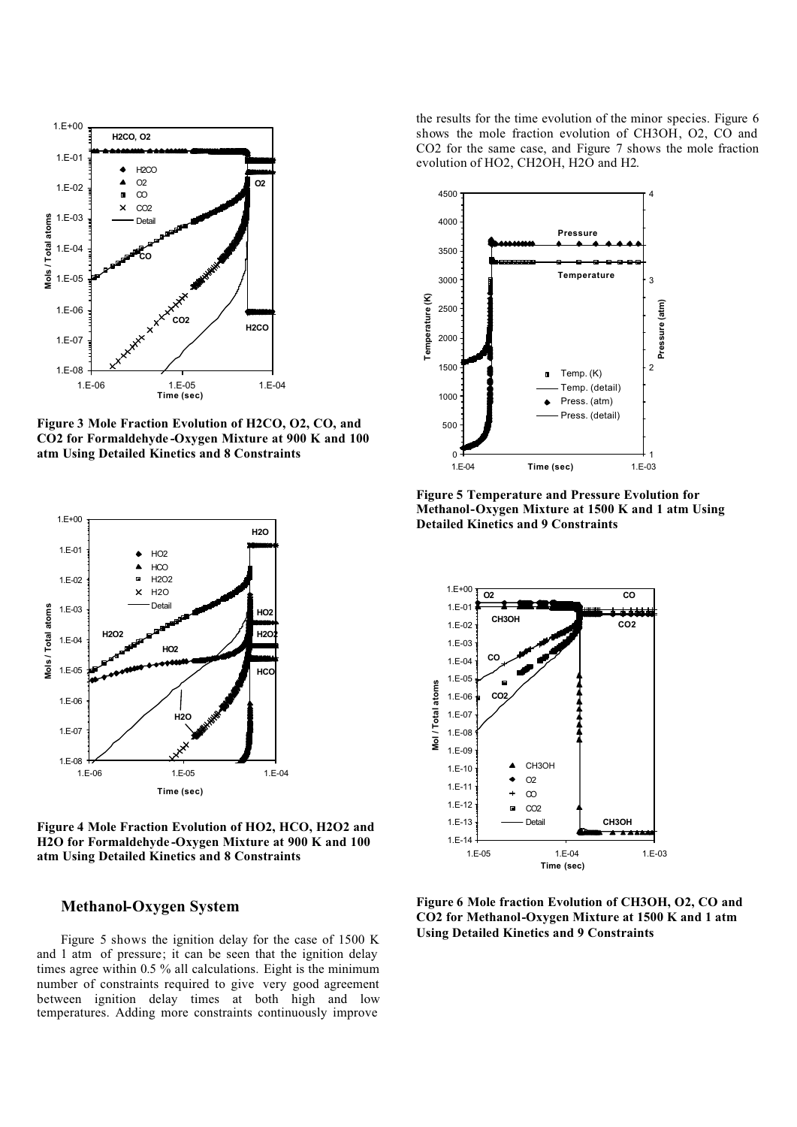

**Figure 3 Mole Fraction Evolution of H2CO, O2, CO, and CO2 for Formaldehyde -Oxygen Mixture at 900 K and 100 atm Using Detailed Kinetics and 8 Constraints**



**Figure 4 Mole Fraction Evolution of HO2, HCO, H2O2 and H2O for Formaldehyde -Oxygen Mixture at 900 K and 100 atm Using Detailed Kinetics and 8 Constraints**

### **Methanol-Oxygen System**

Figure 5 shows the ignition delay for the case of 1500 K and 1 atm of pressure; it can be seen that the ignition delay times agree within 0.5 % all calculations. Eight is the minimum number of constraints required to give very good agreement between ignition delay times at both high and low temperatures. Adding more constraints continuously improve

the results for the time evolution of the minor species. Figure 6 shows the mole fraction evolution of CH3OH, O2, CO and CO2 for the same case, and Figure 7 shows the mole fraction evolution of HO2, CH2OH, H2O and H2.



**Figure 5 Temperature and Pressure Evolution for Methanol-Oxygen Mixture at 1500 K and 1 atm Using Detailed Kinetics and 9 Constraints**



**Figure 6 Mole fraction Evolution of CH3OH, O2, CO and CO2 for Methanol-Oxygen Mixture at 1500 K and 1 atm Using Detailed Kinetics and 9 Constraints**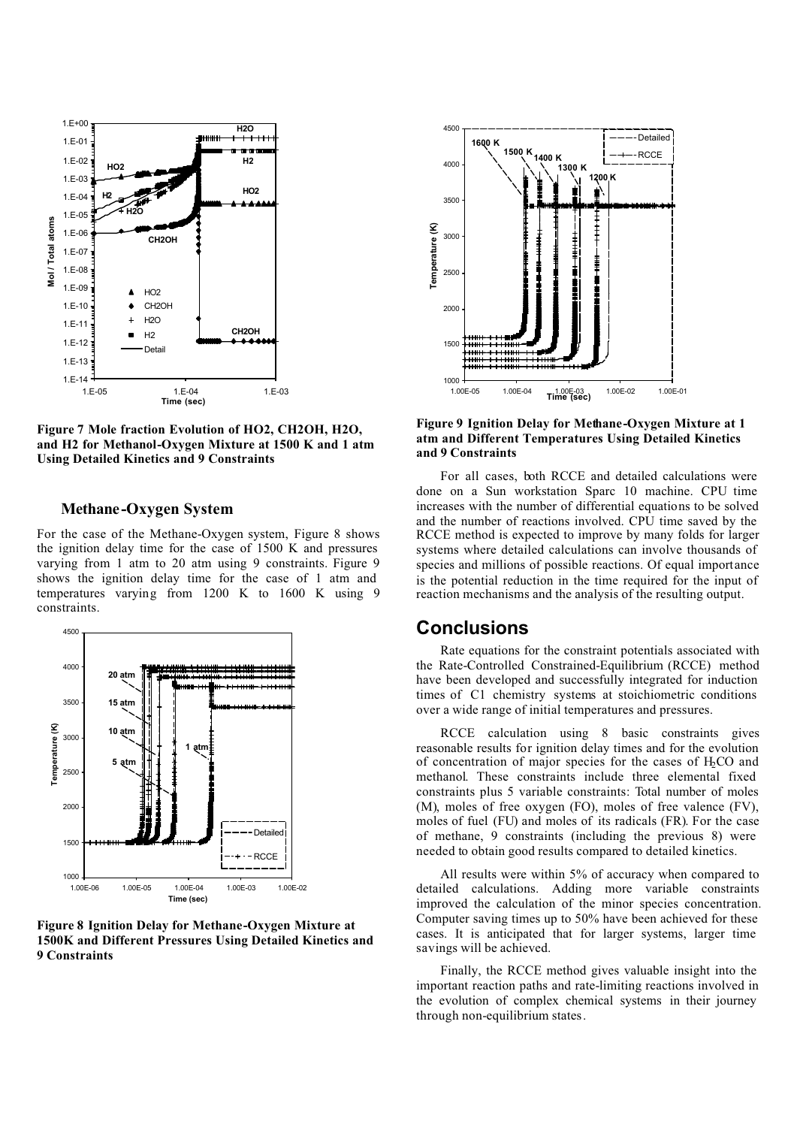

**Figure 7 Mole fraction Evolution of HO2, CH2OH, H2O, and H2 for Methanol-Oxygen Mixture at 1500 K and 1 atm Using Detailed Kinetics and 9 Constraints**

### **Methane-Oxygen System**

For the case of the Methane-Oxygen system, Figure 8 shows the ignition delay time for the case of 1500 K and pressures varying from 1 atm to 20 atm using 9 constraints. Figure 9 shows the ignition delay time for the case of 1 atm and temperatures varying from 1200 K to 1600 K using 9 constraints.



**Figure 8 Ignition Delay for Methane-Oxygen Mixture at 1500K and Different Pressures Using Detailed Kinetics and 9 Constraints**



**Figure 9 Ignition Delay for Methane-Oxygen Mixture at 1 atm and Different Temperatures Using Detailed Kinetics and 9 Constraints**

For all cases, both RCCE and detailed calculations were done on a Sun workstation Sparc 10 machine. CPU time increases with the number of differential equations to be solved and the number of reactions involved. CPU time saved by the RCCE method is expected to improve by many folds for larger systems where detailed calculations can involve thousands of species and millions of possible reactions. Of equal importance is the potential reduction in the time required for the input of reaction mechanisms and the analysis of the resulting output.

# **Conclusions**

Rate equations for the constraint potentials associated with the Rate-Controlled Constrained-Equilibrium (RCCE) method have been developed and successfully integrated for induction times of C1 chemistry systems at stoichiometric conditions over a wide range of initial temperatures and pressures.

RCCE calculation using 8 basic constraints gives reasonable results for ignition delay times and for the evolution of concentration of major species for the cases of  $H_2CO$  and methanol. These constraints include three elemental fixed constraints plus 5 variable constraints: Total number of moles (M), moles of free oxygen (FO), moles of free valence (FV), moles of fuel (FU) and moles of its radicals (FR). For the case of methane, 9 constraints (including the previous 8) were needed to obtain good results compared to detailed kinetics.

All results were within 5% of accuracy when compared to detailed calculations. Adding more variable constraints improved the calculation of the minor species concentration. Computer saving times up to 50% have been achieved for these cases. It is anticipated that for larger systems, larger time savings will be achieved.

Finally, the RCCE method gives valuable insight into the important reaction paths and rate-limiting reactions involved in the evolution of complex chemical systems in their journey through non-equilibrium states.